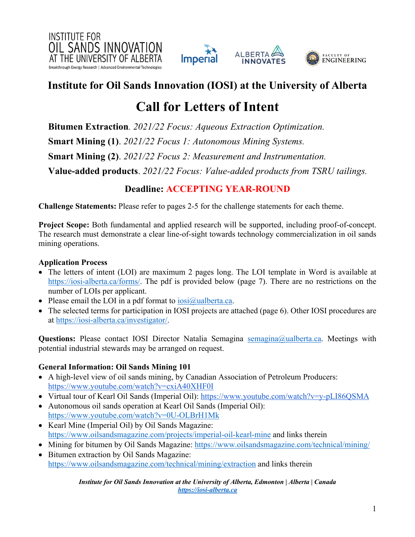



# **Call for Letters of Intent**

**Bitumen Extraction***. 2021/22 Focus: Aqueous Extraction Optimization.* **Smart Mining (1)**. *2021/22 Focus 1: Autonomous Mining Systems.* **Smart Mining (2)**. *2021/22 Focus 2: Measurement and Instrumentation.* **Value-added products**. *2021/22 Focus: Value-added products from TSRU tailings.* 

### **Deadline: ACCEPTING YEAR-ROUND**

**Challenge Statements:** Please refer to pages 2-5 for the challenge statements for each theme.

**Project Scope:** Both fundamental and applied research will be supported, including proof-of-concept. The research must demonstrate a clear line-of-sight towards technology commercialization in oil sands mining operations.

### **Application Process**

- The letters of intent (LOI) are maximum 2 pages long. The LOI template in Word is available at https://iosi-alberta.ca/forms/. The pdf is provided below (page 7). There are no restrictions on the number of LOIs per applicant.
- Please email the LOI in a pdf format to  $\frac{\log(\alpha)}{\log(\alpha)}$ ualberta.ca.
- The selected terms for participation in IOSI projects are attached (page 6). Other IOSI procedures are at https://iosi-alberta.ca/investigator/.

**Questions:** Please contact IOSI Director Natalia Semagina semagina@ualberta.ca. Meetings with potential industrial stewards may be arranged on request.

### **General Information: Oil Sands Mining 101**

- A high-level view of oil sands mining, by Canadian Association of Petroleum Producers: https://www.youtube.com/watch?v=cxiA40XHF0I
- Virtual tour of Kearl Oil Sands (Imperial Oil): https://www.youtube.com/watch?v=y-pLI86OSMA
- Autonomous oil sands operation at Kearl Oil Sands (Imperial Oil): https://www.youtube.com/watch?v=0U-OLBrH1Mk
- Kearl Mine (Imperial Oil) by Oil Sands Magazine: https://www.oilsandsmagazine.com/projects/imperial-oil-kearl-mine and links therein
- Mining for bitumen by Oil Sands Magazine: https://www.oilsandsmagazine.com/technical/mining/
- Bitumen extraction by Oil Sands Magazine: https://www.oilsandsmagazine.com/technical/mining/extraction and links therein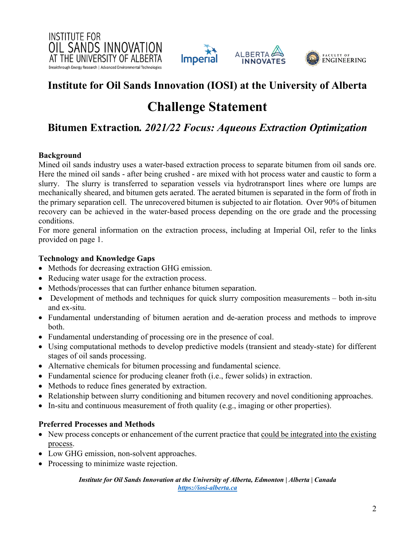



# **Challenge Statement**

### **Bitumen Extraction***. 2021/22 Focus: Aqueous Extraction Optimization*

### **Background**

Mined oil sands industry uses a water-based extraction process to separate bitumen from oil sands ore. Here the mined oil sands - after being crushed - are mixed with hot process water and caustic to form a slurry. The slurry is transferred to separation vessels via hydrotransport lines where ore lumps are mechanically sheared, and bitumen gets aerated. The aerated bitumen is separated in the form of froth in the primary separation cell. The unrecovered bitumen is subjected to air flotation. Over 90% of bitumen recovery can be achieved in the water-based process depending on the ore grade and the processing conditions.

For more general information on the extraction process, including at Imperial Oil, refer to the links provided on page 1.

### **Technology and Knowledge Gaps**

- Methods for decreasing extraction GHG emission.
- Reducing water usage for the extraction process.
- Methods/processes that can further enhance bitumen separation.
- Development of methods and techniques for quick slurry composition measurements both in-situ and ex-situ.
- Fundamental understanding of bitumen aeration and de-aeration process and methods to improve both.
- Fundamental understanding of processing ore in the presence of coal.
- Using computational methods to develop predictive models (transient and steady-state) for different stages of oil sands processing.
- Alternative chemicals for bitumen processing and fundamental science.
- Fundamental science for producing cleaner froth (i.e., fewer solids) in extraction.
- Methods to reduce fines generated by extraction.
- Relationship between slurry conditioning and bitumen recovery and novel conditioning approaches.
- In-situ and continuous measurement of froth quality (e.g., imaging or other properties).

### **Preferred Processes and Methods**

- New process concepts or enhancement of the current practice that could be integrated into the existing process.
- Low GHG emission, non-solvent approaches.
- Processing to minimize waste rejection.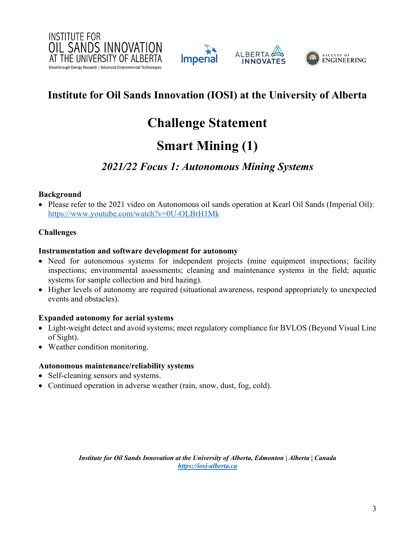







# **Challenge Statement**

# **Smart Mining (1)**

### *2021/22 Focus 1: Autonomous Mining Systems*

### **Background**

• Please refer to the 2021 video on Autonomous oil sands operation at Kearl Oil Sands (Imperial Oil): https://www.youtube.com/watch?v=0U-OLBrH1Mk

### **Challenges**

### **Instrumentation and software development for autonomy**

- Need for autonomous systems for independent projects (mine equipment inspections; facility inspections; environmental assessments; cleaning and maintenance systems in the field; aquatic systems for sample collection and bird hazing).
- Higher levels of autonomy are required (situational awareness, respond appropriately to unexpected events and obstacles).

### **Expanded autonomy for aerial systems**

- Light-weight detect and avoid systems; meet regulatory compliance for BVLOS (Beyond Visual Line of Sight).
- Weather condition monitoring.

### **Autonomous maintenance/reliability systems**

- Self-cleaning sensors and systems.
- Continued operation in adverse weather (rain, snow, dust, fog, cold).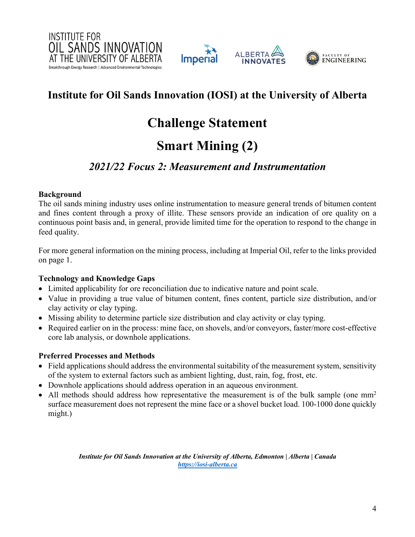







# **Challenge Statement**

# **Smart Mining (2)**

### *2021/22 Focus 2: Measurement and Instrumentation*

### **Background**

The oil sands mining industry uses online instrumentation to measure general trends of bitumen content and fines content through a proxy of illite. These sensors provide an indication of ore quality on a continuous point basis and, in general, provide limited time for the operation to respond to the change in feed quality.

For more general information on the mining process, including at Imperial Oil, refer to the links provided on page 1.

### **Technology and Knowledge Gaps**

- Limited applicability for ore reconciliation due to indicative nature and point scale.
- Value in providing a true value of bitumen content, fines content, particle size distribution, and/or clay activity or clay typing.
- Missing ability to determine particle size distribution and clay activity or clay typing.
- Required earlier on in the process: mine face, on shovels, and/or conveyors, faster/more cost-effective core lab analysis, or downhole applications.

### **Preferred Processes and Methods**

- Field applications should address the environmental suitability of the measurement system, sensitivity of the system to external factors such as ambient lighting, dust, rain, fog, frost, etc.
- Downhole applications should address operation in an aqueous environment.
- All methods should address how representative the measurement is of the bulk sample (one  $mm<sup>2</sup>$ surface measurement does not represent the mine face or a shovel bucket load. 100-1000 done quickly might.)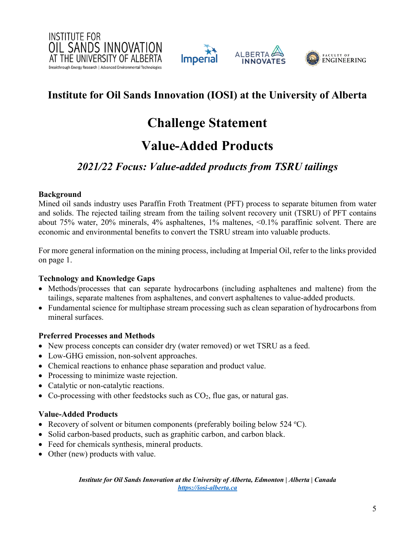





# **Challenge Statement**

# **Value-Added Products**

### *2021/22 Focus: Value-added products from TSRU tailings*

### **Background**

Mined oil sands industry uses Paraffin Froth Treatment (PFT) process to separate bitumen from water and solids. The rejected tailing stream from the tailing solvent recovery unit (TSRU) of PFT contains about 75% water, 20% minerals, 4% asphaltenes, 1% maltenes, <0.1% paraffinic solvent. There are economic and environmental benefits to convert the TSRU stream into valuable products.

For more general information on the mining process, including at Imperial Oil, refer to the links provided on page 1.

### **Technology and Knowledge Gaps**

- Methods/processes that can separate hydrocarbons (including asphaltenes and maltene) from the tailings, separate maltenes from asphaltenes, and convert asphaltenes to value-added products.
- Fundamental science for multiphase stream processing such as clean separation of hydrocarbons from mineral surfaces.

### **Preferred Processes and Methods**

- New process concepts can consider dry (water removed) or wet TSRU as a feed.
- Low-GHG emission, non-solvent approaches.
- Chemical reactions to enhance phase separation and product value.
- Processing to minimize waste rejection.
- Catalytic or non-catalytic reactions.
- Co-processing with other feedstocks such as  $CO<sub>2</sub>$ , flue gas, or natural gas.

### **Value-Added Products**

- Recovery of solvent or bitumen components (preferably boiling below  $524 \text{ °C}$ ).
- Solid carbon-based products, such as graphitic carbon, and carbon black.
- Feed for chemicals synthesis, mineral products.
- Other (new) products with value.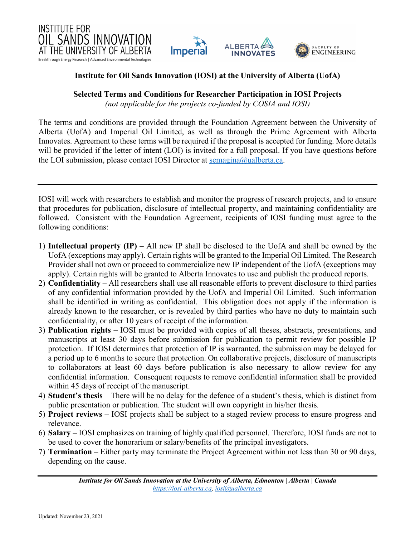



**Selected Terms and Conditions for Researcher Participation in IOSI Projects**

*(not applicable for the projects co-funded by COSIA and IOSI)*

The terms and conditions are provided through the Foundation Agreement between the University of Alberta (UofA) and Imperial Oil Limited, as well as through the Prime Agreement with Alberta Innovates. Agreement to these terms will be required if the proposal is accepted for funding. More details will be provided if the letter of intent (LOI) is invited for a full proposal. If you have questions before the LOI submission, please contact IOSI Director at semagina@ualberta.ca.

IOSI will work with researchers to establish and monitor the progress of research projects, and to ensure that procedures for publication, disclosure of intellectual property, and maintaining confidentiality are followed. Consistent with the Foundation Agreement, recipients of IOSI funding must agree to the following conditions:

- 1) **Intellectual property (IP)** All new IP shall be disclosed to the UofA and shall be owned by the UofA (exceptions may apply). Certain rights will be granted to the Imperial Oil Limited. The Research Provider shall not own or proceed to commercialize new IP independent of the UofA (exceptions may apply). Certain rights will be granted to Alberta Innovates to use and publish the produced reports.
- 2) **Confidentiality** All researchers shall use all reasonable efforts to prevent disclosure to third parties of any confidential information provided by the UofA and Imperial Oil Limited. Such information shall be identified in writing as confidential. This obligation does not apply if the information is already known to the researcher, or is revealed by third parties who have no duty to maintain such confidentiality, or after 10 years of receipt of the information.
- 3) **Publication rights** IOSI must be provided with copies of all theses, abstracts, presentations, and manuscripts at least 30 days before submission for publication to permit review for possible IP protection. If IOSI determines that protection of IP is warranted, the submission may be delayed for a period up to 6 months to secure that protection. On collaborative projects, disclosure of manuscripts to collaborators at least 60 days before publication is also necessary to allow review for any confidential information. Consequent requests to remove confidential information shall be provided within 45 days of receipt of the manuscript.
- 4) **Student's thesis** There will be no delay for the defence of a student's thesis, which is distinct from public presentation or publication. The student will own copyright in his/her thesis.
- 5) **Project reviews** IOSI projects shall be subject to a staged review process to ensure progress and relevance.
- 6) **Salary** IOSI emphasizes on training of highly qualified personnel. Therefore, IOSI funds are not to be used to cover the honorarium or salary/benefits of the principal investigators.
- 7) **Termination** Either party may terminate the Project Agreement within not less than 30 or 90 days, depending on the cause.

*Institute for Oil Sands Innovation at the University of Alberta, Edmonton | Alberta | Canada https://iosi-alberta.ca, iosi@ualberta.ca*